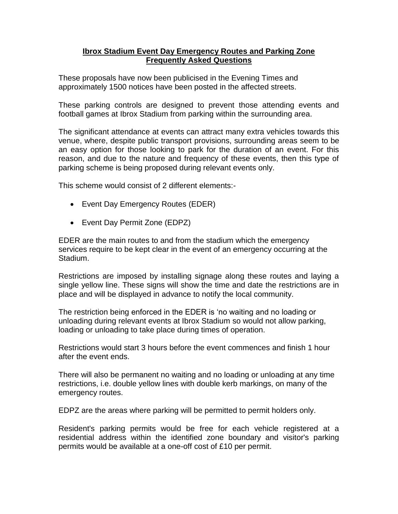## **Ibrox Stadium Event Day Emergency Routes and Parking Zone Frequently Asked Questions**

These proposals have now been publicised in the Evening Times and approximately 1500 notices have been posted in the affected streets.

These parking controls are designed to prevent those attending events and football games at Ibrox Stadium from parking within the surrounding area.

The significant attendance at events can attract many extra vehicles towards this venue, where, despite public transport provisions, surrounding areas seem to be an easy option for those looking to park for the duration of an event. For this reason, and due to the nature and frequency of these events, then this type of parking scheme is being proposed during relevant events only.

This scheme would consist of 2 different elements:-

- Event Day Emergency Routes (EDER)
- Event Day Permit Zone (EDPZ)

EDER are the main routes to and from the stadium which the emergency services require to be kept clear in the event of an emergency occurring at the Stadium.

Restrictions are imposed by installing signage along these routes and laying a single yellow line. These signs will show the time and date the restrictions are in place and will be displayed in advance to notify the local community.

The restriction being enforced in the EDER is 'no waiting and no loading or unloading during relevant events at Ibrox Stadium so would not allow parking, loading or unloading to take place during times of operation.

Restrictions would start 3 hours before the event commences and finish 1 hour after the event ends.

There will also be permanent no waiting and no loading or unloading at any time restrictions, i.e. double yellow lines with double kerb markings, on many of the emergency routes.

EDPZ are the areas where parking will be permitted to permit holders only.

Resident's parking permits would be free for each vehicle registered at a residential address within the identified zone boundary and visitor's parking permits would be available at a one-off cost of £10 per permit.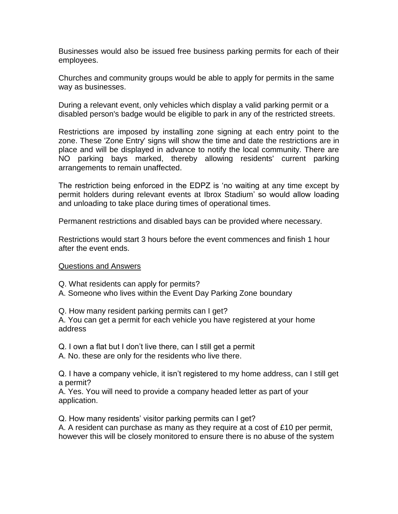Businesses would also be issued free business parking permits for each of their employees.

Churches and community groups would be able to apply for permits in the same way as businesses.

During a relevant event, only vehicles which display a valid parking permit or a disabled person's badge would be eligible to park in any of the restricted streets.

Restrictions are imposed by installing zone signing at each entry point to the zone. These 'Zone Entry' signs will show the time and date the restrictions are in place and will be displayed in advance to notify the local community. There are NO parking bays marked, thereby allowing residents' current parking arrangements to remain unaffected.

The restriction being enforced in the EDPZ is 'no waiting at any time except by permit holders during relevant events at Ibrox Stadium' so would allow loading and unloading to take place during times of operational times.

Permanent restrictions and disabled bays can be provided where necessary.

Restrictions would start 3 hours before the event commences and finish 1 hour after the event ends.

## Questions and Answers

Q. What residents can apply for permits?

A. Someone who lives within the Event Day Parking Zone boundary

Q. How many resident parking permits can I get?

A. You can get a permit for each vehicle you have registered at your home address

Q. I own a flat but I don't live there, can I still get a permit

A. No. these are only for the residents who live there.

Q. I have a company vehicle, it isn't registered to my home address, can I still get a permit?

A. Yes. You will need to provide a company headed letter as part of your application.

Q. How many residents' visitor parking permits can I get?

A. A resident can purchase as many as they require at a cost of £10 per permit, however this will be closely monitored to ensure there is no abuse of the system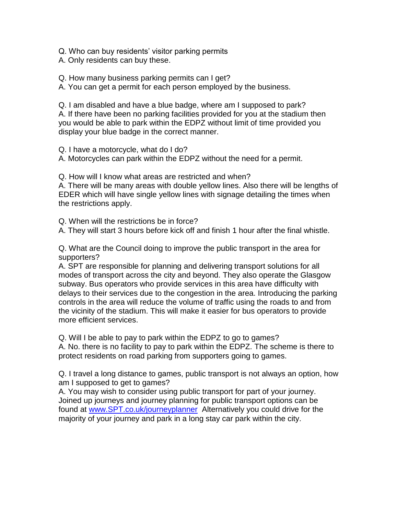Q. Who can buy residents' visitor parking permits

A. Only residents can buy these.

Q. How many business parking permits can I get?

A. You can get a permit for each person employed by the business.

Q. I am disabled and have a blue badge, where am I supposed to park? A. If there have been no parking facilities provided for you at the stadium then you would be able to park within the EDPZ without limit of time provided you display your blue badge in the correct manner.

Q. I have a motorcycle, what do I do?

A. Motorcycles can park within the EDPZ without the need for a permit.

Q. How will I know what areas are restricted and when?

A. There will be many areas with double yellow lines. Also there will be lengths of EDER which will have single yellow lines with signage detailing the times when the restrictions apply.

Q. When will the restrictions be in force?

A. They will start 3 hours before kick off and finish 1 hour after the final whistle.

Q. What are the Council doing to improve the public transport in the area for supporters?

A. SPT are responsible for planning and delivering transport solutions for all modes of transport across the city and beyond. They also operate the Glasgow subway. Bus operators who provide services in this area have difficulty with delays to their services due to the congestion in the area. Introducing the parking controls in the area will reduce the volume of traffic using the roads to and from the vicinity of the stadium. This will make it easier for bus operators to provide more efficient services.

Q. Will I be able to pay to park within the EDPZ to go to games? A. No. there is no facility to pay to park within the EDPZ. The scheme is there to protect residents on road parking from supporters going to games.

Q. I travel a long distance to games, public transport is not always an option, how am I supposed to get to games?

A. You may wish to consider using public transport for part of your journey. Joined up journeys and journey planning for public transport options can be found at [www.SPT.co.uk/journeyplanner](http://www.spt.co.uk/journeyplanner) Alternatively you could drive for the majority of your journey and park in a long stay car park within the city.